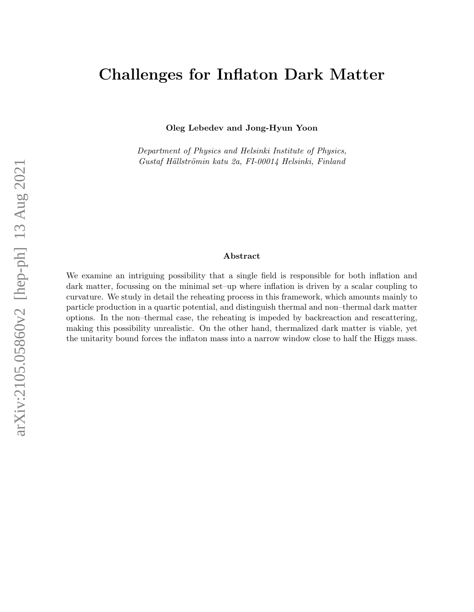# Challenges for Inflaton Dark Matter

Oleg Lebedev and Jong-Hyun Yoon

Department of Physics and Helsinki Institute of Physics, Gustaf Hällströmin katu 2a, FI-00014 Helsinki, Finland

### Abstract

We examine an intriguing possibility that a single field is responsible for both inflation and dark matter, focussing on the minimal set–up where inflation is driven by a scalar coupling to curvature. We study in detail the reheating process in this framework, which amounts mainly to particle production in a quartic potential, and distinguish thermal and non–thermal dark matter options. In the non–thermal case, the reheating is impeded by backreaction and rescattering, making this possibility unrealistic. On the other hand, thermalized dark matter is viable, yet the unitarity bound forces the inflaton mass into a narrow window close to half the Higgs mass.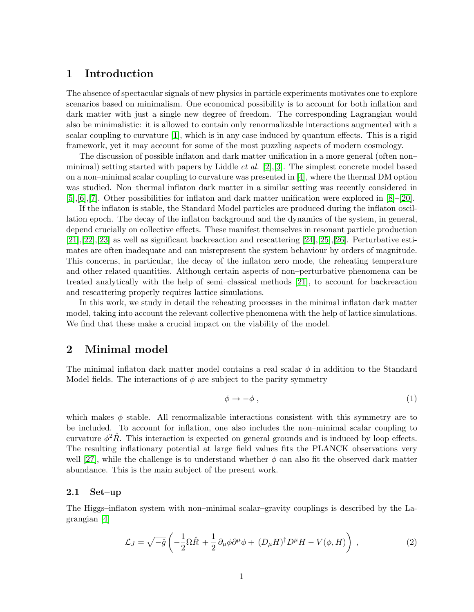# 1 Introduction

The absence of spectacular signals of new physics in particle experiments motivates one to explore scenarios based on minimalism. One economical possibility is to account for both inflation and dark matter with just a single new degree of freedom. The corresponding Lagrangian would also be minimalistic: it is allowed to contain only renormalizable interactions augmented with a scalar coupling to curvature [\[1\]](#page-14-0), which is in any case induced by quantum effects. This is a rigid framework, yet it may account for some of the most puzzling aspects of modern cosmology.

The discussion of possible inflaton and dark matter unification in a more general (often non– minimal) setting started with papers by Liddle *et al.* [\[2\]](#page-14-1), [\[3\]](#page-14-2). The simplest concrete model based on a non–minimal scalar coupling to curvature was presented in [\[4\]](#page-14-3), where the thermal DM option was studied. Non–thermal inflaton dark matter in a similar setting was recently considered in [\[5\]](#page-14-4),[\[6\]](#page-14-5),[\[7\]](#page-14-6). Other possibilities for inflaton and dark matter unification were explored in [\[8\]](#page-14-7)–[\[20\]](#page-14-8).

If the inflaton is stable, the Standard Model particles are produced during the inflaton oscillation epoch. The decay of the inflaton background and the dynamics of the system, in general, depend crucially on collective effects. These manifest themselves in resonant particle production [\[21\]](#page-14-9),[\[22\]](#page-14-10),[\[23\]](#page-14-11) as well as significant backreaction and rescattering [\[24\]](#page-14-12),[\[25\]](#page-14-13),[\[26\]](#page-14-14). Perturbative estimates are often inadequate and can misrepresent the system behaviour by orders of magnitude. This concerns, in particular, the decay of the inflaton zero mode, the reheating temperature and other related quantities. Although certain aspects of non–perturbative phenomena can be treated analytically with the help of semi–classical methods [\[21\]](#page-14-9), to account for backreaction and rescattering properly requires lattice simulations.

In this work, we study in detail the reheating processes in the minimal inflaton dark matter model, taking into account the relevant collective phenomena with the help of lattice simulations. We find that these make a crucial impact on the viability of the model.

## 2 Minimal model

The minimal inflaton dark matter model contains a real scalar  $\phi$  in addition to the Standard Model fields. The interactions of  $\phi$  are subject to the parity symmetry

$$
\phi \to -\phi \; , \tag{1}
$$

which makes  $\phi$  stable. All renormalizable interactions consistent with this symmetry are to be included. To account for inflation, one also includes the non–minimal scalar coupling to curvature  $\phi^2 \hat{R}$ . This interaction is expected on general grounds and is induced by loop effects. The resulting inflationary potential at large field values fits the PLANCK observations very well [\[27\]](#page-15-0), while the challenge is to understand whether  $\phi$  can also fit the observed dark matter abundance. This is the main subject of the present work.

#### 2.1 Set–up

The Higgs–inflaton system with non–minimal scalar–gravity couplings is described by the Lagrangian [\[4\]](#page-14-3)

$$
\mathcal{L}_J = \sqrt{-\hat{g}} \left( -\frac{1}{2} \Omega \hat{R} + \frac{1}{2} \partial_\mu \phi \partial^\mu \phi + (D_\mu H)^\dagger D^\mu H - V(\phi, H) \right) , \qquad (2)
$$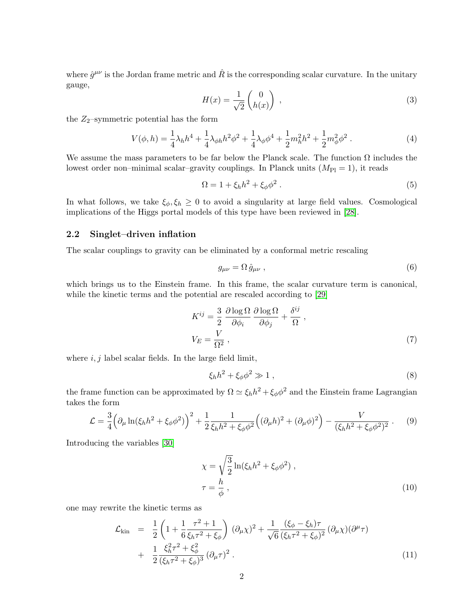where  $\hat{g}^{\mu\nu}$  is the Jordan frame metric and  $\hat{R}$  is the corresponding scalar curvature. In the unitary gauge,

$$
H(x) = \frac{1}{\sqrt{2}} \begin{pmatrix} 0 \\ h(x) \end{pmatrix} , \qquad (3)
$$

the  $Z_2$ –symmetric potential has the form

$$
V(\phi, h) = \frac{1}{4}\lambda_h h^4 + \frac{1}{4}\lambda_{\phi h} h^2 \phi^2 + \frac{1}{4}\lambda_{\phi} \phi^4 + \frac{1}{2}m_h^2 h^2 + \frac{1}{2}m_{\phi}^2 \phi^2.
$$
 (4)

We assume the mass parameters to be far below the Planck scale. The function  $\Omega$  includes the lowest order non–minimal scalar–gravity couplings. In Planck units  $(M_{\rm Pl} = 1)$ , it reads

$$
\Omega = 1 + \xi_h h^2 + \xi_\phi \phi^2 \,. \tag{5}
$$

In what follows, we take  $\xi_{\phi}, \xi_{h} \geq 0$  to avoid a singularity at large field values. Cosmological implications of the Higgs portal models of this type have been reviewed in [\[28\]](#page-15-1).

### 2.2 Singlet–driven inflation

The scalar couplings to gravity can be eliminated by a conformal metric rescaling

$$
g_{\mu\nu} = \Omega \,\hat{g}_{\mu\nu} \,, \tag{6}
$$

which brings us to the Einstein frame. In this frame, the scalar curvature term is canonical, while the kinetic terms and the potential are rescaled according to [\[29\]](#page-15-2)

<span id="page-2-0"></span>
$$
K^{ij} = \frac{3}{2} \frac{\partial \log \Omega}{\partial \phi_i} \frac{\partial \log \Omega}{\partial \phi_j} + \frac{\delta^{ij}}{\Omega} ,
$$
  
\n
$$
V_E = \frac{V}{\Omega^2} ,
$$
\n(7)

where  $i, j$  label scalar fields. In the large field limit,

$$
\xi_h h^2 + \xi_\phi \phi^2 \gg 1 \,, \tag{8}
$$

the frame function can be approximated by  $\Omega \simeq \xi_h h^2 + \xi_\phi \phi^2$  and the Einstein frame Lagrangian takes the form

$$
\mathcal{L} = \frac{3}{4} \Big( \partial_{\mu} \ln(\xi_{h} h^{2} + \xi_{\phi} \phi^{2}) \Big)^{2} + \frac{1}{2} \frac{1}{\xi_{h} h^{2} + \xi_{\phi} \phi^{2}} \Big( (\partial_{\mu} h)^{2} + (\partial_{\mu} \phi)^{2} \Big) - \frac{V}{(\xi_{h} h^{2} + \xi_{\phi} \phi^{2})^{2}} . \tag{9}
$$

Introducing the variables [\[30\]](#page-15-3)

$$
\chi = \sqrt{\frac{3}{2}} \ln(\xi_h h^2 + \xi_\phi \phi^2) ,
$$
  
\n
$$
\tau = \frac{h}{\phi} ,
$$
\n(10)

one may rewrite the kinetic terms as

$$
\mathcal{L}_{\text{kin}} = \frac{1}{2} \left( 1 + \frac{1}{6} \frac{\tau^2 + 1}{\xi_h \tau^2 + \xi_\phi} \right) (\partial_\mu \chi)^2 + \frac{1}{\sqrt{6}} \frac{(\xi_\phi - \xi_h) \tau}{(\xi_h \tau^2 + \xi_\phi)^2} (\partial_\mu \chi) (\partial^\mu \tau) + \frac{1}{2} \frac{\xi_h^2 \tau^2 + \xi_\phi^2}{(\xi_h \tau^2 + \xi_\phi)^3} (\partial_\mu \tau)^2.
$$
\n(11)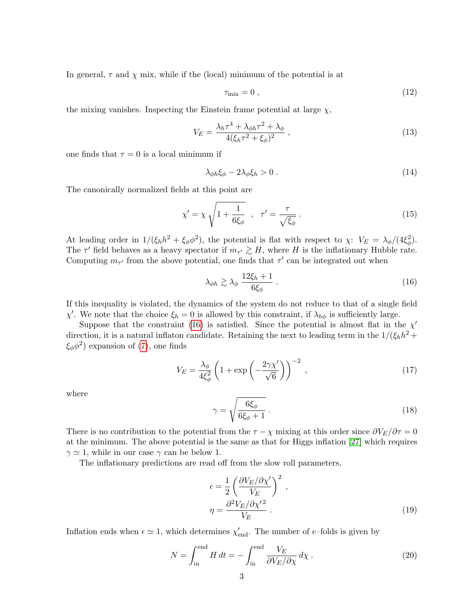In general,  $\tau$  and  $\chi$  mix, while if the (local) minimum of the potential is at

$$
\tau_{\min} = 0 \tag{12}
$$

the mixing vanishes. Inspecting the Einstein frame potential at large  $\chi$ ,

$$
V_E = \frac{\lambda_h \tau^4 + \lambda_{\phi h} \tau^2 + \lambda_{\phi}}{4(\xi_h \tau^2 + \xi_{\phi})^2} \,,\tag{13}
$$

one finds that  $\tau = 0$  is a local minimum if

$$
\lambda_{\phi h} \xi_{\phi} - 2\lambda_{\phi} \xi_{h} > 0. \tag{14}
$$

The canonically normalized fields at this point are

$$
\chi' = \chi \sqrt{1 + \frac{1}{6\xi_{\phi}}} \quad , \quad \tau' = \frac{\tau}{\sqrt{\xi_{\phi}}} \ . \tag{15}
$$

At leading order in  $1/(\xi_h h^2 + \xi_\phi \phi^2)$ , the potential is flat with respect to  $\chi$ :  $V_E = \lambda_\phi/(4\xi_\phi^2)$ . The  $\tau'$  field behaves as a heavy spectator if  $m_{\tau'} \gtrsim H$ , where H is the inflationary Hubble rate. Computing  $m_{\tau'}$  from the above potential, one finds that  $\tau'$  can be integrated out when

<span id="page-3-0"></span>
$$
\lambda_{\phi h} \gtrsim \lambda_{\phi} \frac{12\xi_h + 1}{6\xi_{\phi}} \,. \tag{16}
$$

If this inequality is violated, the dynamics of the system do not reduce to that of a single field  $\chi'$ . We note that the choice  $\xi_h = 0$  is allowed by this constraint, if  $\lambda_{h\phi}$  is sufficiently large.

Suppose that the constraint [\(16\)](#page-3-0) is satisfied. Since the potential is almost flat in the  $\chi'$ direction, it is a natural inflaton candidate. Retaining the next to leading term in the  $1/(\xi_h h^2 +$  $\xi_{\phi}\phi^2$  expansion of [\(7\)](#page-2-0), one finds

$$
V_E = \frac{\lambda_\phi}{4\xi_\phi^2} \left( 1 + \exp\left( -\frac{2\gamma \chi'}{\sqrt{6}} \right) \right)^{-2},\tag{17}
$$

where

$$
\gamma = \sqrt{\frac{6\xi_{\phi}}{6\xi_{\phi} + 1}}.
$$
\n(18)

There is no contribution to the potential from the  $\tau - \chi$  mixing at this order since  $\partial V_E/\partial \tau = 0$ at the minimum. The above potential is the same as that for Higgs inflation [\[27\]](#page-15-0) which requires  $\gamma \simeq 1$ , while in our case  $\gamma$  can be below 1.

The inflationary predictions are read off from the slow roll parameters,

$$
\epsilon = \frac{1}{2} \left( \frac{\partial V_E / \partial \chi'}{V_E} \right)^2 ,
$$
  

$$
\eta = \frac{\partial^2 V_E / \partial \chi'}{V_E} .
$$
 (19)

Inflation ends when  $\epsilon \simeq 1$ , which determines  $\chi'_{\text{end}}$ . The number of e-folds is given by

$$
N = \int_{\text{in}}^{\text{end}} H \, dt = -\int_{\text{in}}^{\text{end}} \frac{V_E}{\partial V_E / \partial \chi} \, d\chi \,. \tag{20}
$$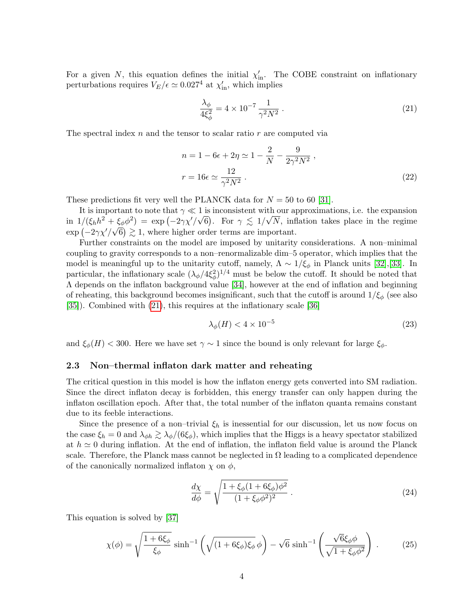For a given N, this equation defines the initial  $\chi'_{\rm in}$ . The COBE constraint on inflationary perturbations requires  $V_E/\epsilon \simeq 0.027^4$  at  $\chi'_{\rm in}$ , which implies

<span id="page-4-0"></span>
$$
\frac{\lambda_{\phi}}{4\xi_{\phi}^2} = 4 \times 10^{-7} \frac{1}{\gamma^2 N^2} \,. \tag{21}
$$

The spectral index  $n$  and the tensor to scalar ratio  $r$  are computed via

<span id="page-4-2"></span>
$$
n = 1 - 6\epsilon + 2\eta \simeq 1 - \frac{2}{N} - \frac{9}{2\gamma^2 N^2},
$$
  

$$
r = 16\epsilon \simeq \frac{12}{\gamma^2 N^2}.
$$
 (22)

These predictions fit very well the PLANCK data for  $N = 50$  to 60 [\[31\]](#page-15-4).

It is important to note that  $\gamma \ll 1$  is inconsistent with our approximations, i.e. the expansion in  $1/(\xi_h h^2 + \xi_\phi \phi^2) = \exp(-2\gamma \chi'/\sqrt{6})$ . For  $\gamma \lesssim 1/\sqrt{N}$ , inflation takes place in the regime  $\exp(-2\gamma\chi'/\sqrt{6}) \gtrsim 1$ , where higher order terms are important.

Further constraints on the model are imposed by unitarity considerations. A non–minimal coupling to gravity corresponds to a non–renormalizable dim–5 operator, which implies that the model is meaningful up to the unitarity cutoff, namely,  $\Lambda \sim 1/\xi_{\phi}$  in Planck units [\[32\]](#page-15-5),[\[33\]](#page-15-6). In particular, the inflationary scale  $(\lambda_{\phi}/4\xi_{\phi}^2)^{1/4}$  must be below the cutoff. It should be noted that Λ depends on the inflaton background value [\[34\]](#page-15-7), however at the end of inflation and beginning of reheating, this background becomes insignificant, such that the cutoff is around  $1/\xi_{\phi}$  (see also [\[35\]](#page-15-8)). Combined with [\(21\)](#page-4-0), this requires at the inflationary scale [\[36\]](#page-15-9)

<span id="page-4-1"></span>
$$
\lambda_{\phi}(H) < 4 \times 10^{-5} \tag{23}
$$

and  $\xi_{\phi}(H) < 300$ . Here we have set  $\gamma \sim 1$  since the bound is only relevant for large  $\xi_{\phi}$ .

#### 2.3 Non–thermal inflaton dark matter and reheating

The critical question in this model is how the inflaton energy gets converted into SM radiation. Since the direct inflaton decay is forbidden, this energy transfer can only happen during the inflaton oscillation epoch. After that, the total number of the inflaton quanta remains constant due to its feeble interactions.

Since the presence of a non-trivial  $\xi_h$  is inessential for our discussion, let us now focus on the case  $\xi_h = 0$  and  $\lambda_{\phi h} \gtrsim \lambda_{\phi}/(6\xi_{\phi})$ , which implies that the Higgs is a heavy spectator stabilized at  $h \simeq 0$  during inflation. At the end of inflation, the inflaton field value is around the Planck scale. Therefore, the Planck mass cannot be neglected in  $\Omega$  leading to a complicated dependence of the canonically normalized inflaton  $\chi$  on  $\phi$ ,

$$
\frac{d\chi}{d\phi} = \sqrt{\frac{1 + \xi_{\phi}(1 + 6\xi_{\phi})\phi^2}{(1 + \xi_{\phi}\phi^2)^2}}.
$$
\n(24)

This equation is solved by [\[37\]](#page-15-10)

$$
\chi(\phi) = \sqrt{\frac{1 + 6\xi_{\phi}}{\xi_{\phi}}} \sinh^{-1}\left(\sqrt{(1 + 6\xi_{\phi})\xi_{\phi}}\phi\right) - \sqrt{6}\sinh^{-1}\left(\frac{\sqrt{6}\xi_{\phi}\phi}{\sqrt{1 + \xi_{\phi}\phi^2}}\right). \tag{25}
$$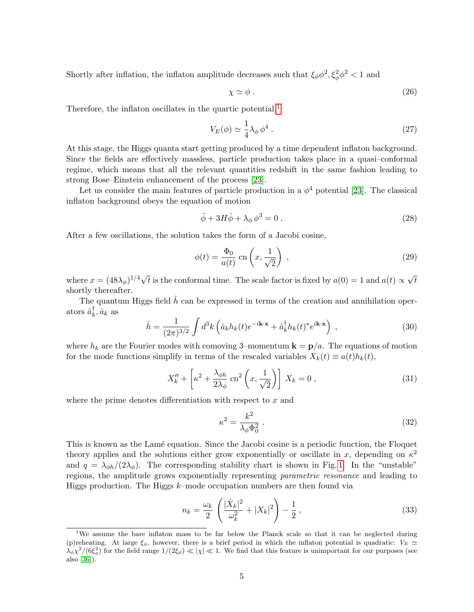Shortly after inflation, the inflaton amplitude decreases such that  $\xi_{\phi}\phi^2$ ,  $\xi_{\phi}^2\phi^2$  < 1 and

$$
\chi \simeq \phi \ . \tag{26}
$$

Therefore, the inflaton oscillates in the quartic potential, $<sup>1</sup>$  $<sup>1</sup>$  $<sup>1</sup>$ </sup>

$$
V_E(\phi) \simeq \frac{1}{4} \lambda_\phi \, \phi^4 \,. \tag{27}
$$

At this stage, the Higgs quanta start getting produced by a time dependent inflaton background. Since the fields are effectively massless, particle production takes place in a quasi–conformal regime, which means that all the relevant quantities redshift in the same fashion leading to strong Bose–Einstein enhancement of the process [\[23\]](#page-14-11).

Let us consider the main features of particle production in a  $\phi^4$  potential [\[23\]](#page-14-11). The classical inflaton background obeys the equation of motion

$$
\ddot{\phi} + 3H\dot{\phi} + \lambda_{\phi}\phi^3 = 0.
$$
\n(28)

After a few oscillations, the solution takes the form of a Jacobi cosine,

$$
\phi(t) = \frac{\Phi_0}{a(t)} \text{ cn}\left(x, \frac{1}{\sqrt{2}}\right) ,\qquad (29)
$$

where  $x = (48\lambda_{\phi})^{1/4}\sqrt{ }$ t is the conformal time. The scale factor is fixed by  $a(0) = 1$  and  $a(t) \propto$ √ t shortly thereafter.

The quantum Higgs field  $\hat{h}$  can be expressed in terms of the creation and annihilation oper- $\text{ators } \hat{a}_k^{\dagger}$  $_{k}^{\mathsf{T}},\hat{a}_{k}$  as

$$
\hat{h} = \frac{1}{(2\pi)^{3/2}} \int d^3k \left( \hat{a}_k h_k(t) e^{-i\mathbf{k}\cdot\mathbf{x}} + \hat{a}_k^\dagger h_k(t)^* e^{i\mathbf{k}\cdot\mathbf{x}} \right) , \qquad (30)
$$

where  $h_k$  are the Fourier modes with comoving 3–momentum  $\mathbf{k} = \mathbf{p}/a$ . The equations of motion for the mode functions simplify in terms of the rescaled variables  $X_k(t) \equiv a(t)h_k(t)$ ,

$$
X_k'' + \left[\kappa^2 + \frac{\lambda_{\phi h}}{2\lambda_{\phi}}\operatorname{cn}^2\left(x, \frac{1}{\sqrt{2}}\right)\right]X_k = 0 ,\qquad (31)
$$

where the prime denotes differentiation with respect to  $x$  and

$$
\kappa^2 = \frac{k^2}{\lambda_\phi \Phi_0^2} \,. \tag{32}
$$

This is known as the Lamé equation. Since the Jacobi cosine is a periodic function, the Floquet theory applies and the solutions either grow exponentially or oscillate in x, depending on  $\kappa^2$ and  $q = \lambda_{\phi h}/(2\lambda_{\phi})$ . The corresponding stability chart is shown in Fig. [1.](#page-6-0) In the "unstable" regions, the amplitude grows exponentially representing parametric resonance and leading to Higgs production. The Higgs  $k$ –mode occupation numbers are then found via

$$
n_k = \frac{\omega_k}{2} \left( \frac{|\dot{X}_k|^2}{\omega_k^2} + |X_k|^2 \right) - \frac{1}{2} \,, \tag{33}
$$

<span id="page-5-0"></span><sup>&</sup>lt;sup>1</sup>We assume the bare inflaton mass to be far below the Planck scale so that it can be neglected during (p)reheating. At large  $\xi_{\phi}$ , however, there is a brief period in which the inflaton potential is quadratic:  $V_E \simeq$  $\lambda_\phi \chi^2/(6\xi_\phi^2)$  for the field range  $1/(2\xi_\phi) \ll |\chi| \ll 1$ . We find that this feature is unimportant for our purposes (see also [\[36\]](#page-15-9)).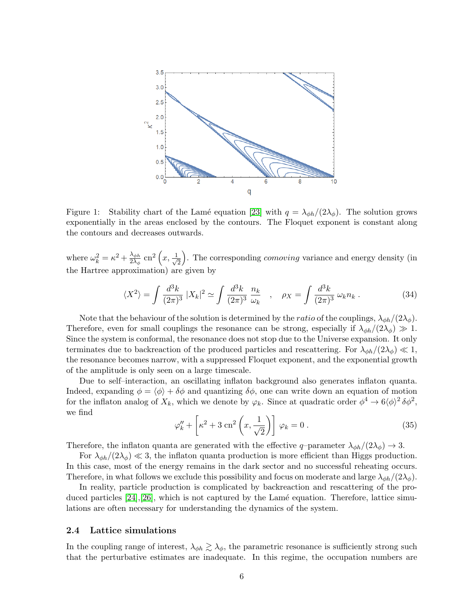

<span id="page-6-0"></span>Figure 1: Stability chart of the Lamé equation [\[23\]](#page-14-11) with  $q = \lambda_{\phi h}/(2\lambda_{\phi})$ . The solution grows exponentially in the areas enclosed by the contours. The Floquet exponent is constant along the contours and decreases outwards.

where  $\omega_k^2 = \kappa^2 + \frac{\lambda_{\phi h}}{2\lambda_{\phi}}$  $\frac{\lambda_{\phi h}}{2 \lambda_{\phi}} \: \mathrm{cn}^2\left(x, \frac{1}{\sqrt{2}}\right)$ 2 ). The corresponding *comoving* variance and energy density (in the Hartree approximation) are given by

$$
\langle X^2 \rangle = \int \frac{d^3k}{(2\pi)^3} |X_k|^2 \simeq \int \frac{d^3k}{(2\pi)^3} \frac{n_k}{\omega_k} \quad , \quad \rho_X = \int \frac{d^3k}{(2\pi)^3} \omega_k n_k \; . \tag{34}
$$

Note that the behaviour of the solution is determined by the *ratio* of the couplings,  $\lambda_{\phi h}/(2\lambda_{\phi})$ . Therefore, even for small couplings the resonance can be strong, especially if  $\lambda_{\phi h}/(2\lambda_{\phi}) \gg 1$ . Since the system is conformal, the resonance does not stop due to the Universe expansion. It only terminates due to backreaction of the produced particles and rescattering. For  $\lambda_{\phi h}/(2\lambda_{\phi}) \ll 1$ , the resonance becomes narrow, with a suppressed Floquet exponent, and the exponential growth of the amplitude is only seen on a large timescale.

Due to self–interaction, an oscillating inflaton background also generates inflaton quanta. Indeed, expanding  $\phi = \langle \phi \rangle + \delta \phi$  and quantizing  $\delta \phi$ , one can write down an equation of motion for the inflaton analog of  $X_k$ , which we denote by  $\varphi_k$ . Since at quadratic order  $\phi^4 \to 6 \langle \phi \rangle^2 \delta \phi^2$ , we find

<span id="page-6-1"></span>
$$
\varphi_k'' + \left[ \kappa^2 + 3 \operatorname{cn}^2 \left( x, \frac{1}{\sqrt{2}} \right) \right] \varphi_k = 0 \,. \tag{35}
$$

Therefore, the inflaton quanta are generated with the effective q-parameter  $\lambda_{\phi h}/(2\lambda_{\phi}) \to 3$ .

For  $\lambda_{\phi h}/(2\lambda_{\phi}) \ll 3$ , the inflaton quanta production is more efficient than Higgs production. In this case, most of the energy remains in the dark sector and no successful reheating occurs. Therefore, in what follows we exclude this possibility and focus on moderate and large  $\lambda_{\phi h}/(2\lambda_{\phi})$ .

In reality, particle production is complicated by backreaction and rescattering of the produced particles  $[24], [26]$  $[24], [26]$ , which is not captured by the Lamé equation. Therefore, lattice simulations are often necessary for understanding the dynamics of the system.

### 2.4 Lattice simulations

In the coupling range of interest,  $\lambda_{\phi h} \gtrsim \lambda_{\phi}$ , the parametric resonance is sufficiently strong such that the perturbative estimates are inadequate. In this regime, the occupation numbers are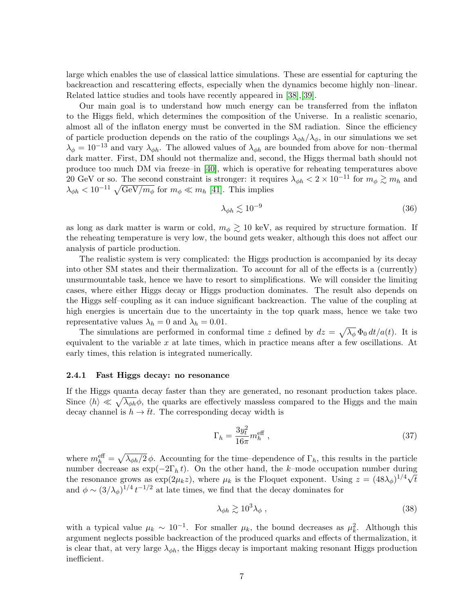large which enables the use of classical lattice simulations. These are essential for capturing the backreaction and rescattering effects, especially when the dynamics become highly non–linear. Related lattice studies and tools have recently appeared in [\[38\]](#page-15-11),[\[39\]](#page-15-12).

Our main goal is to understand how much energy can be transferred from the inflaton to the Higgs field, which determines the composition of the Universe. In a realistic scenario, almost all of the inflaton energy must be converted in the SM radiation. Since the efficiency of particle production depends on the ratio of the couplings  $\lambda_{\phi h}/\lambda_{\phi}$ , in our simulations we set  $\lambda_{\phi} = 10^{-13}$  and vary  $\lambda_{\phi h}$ . The allowed values of  $\lambda_{\phi h}$  are bounded from above for non–thermal dark matter. First, DM should not thermalize and, second, the Higgs thermal bath should not produce too much DM via freeze–in [\[40\]](#page-15-13), which is operative for reheating temperatures above 20 GeV or so. The second constraint is stronger: it requires  $\lambda_{\phi h} < 2 \times 10^{-11}$  for  $m_{\phi} \gtrsim m_h$  and  $\lambda_{\phi h} < 10^{-11} \sqrt{\text{GeV}/m_{\phi}}$  for  $m_{\phi} \ll m_h$  [\[41\]](#page-15-14). This implies

$$
\lambda_{\phi h} \lesssim 10^{-9} \tag{36}
$$

as long as dark matter is warm or cold,  $m_{\phi} \gtrsim 10 \text{ keV}$ , as required by structure formation. If the reheating temperature is very low, the bound gets weaker, although this does not affect our analysis of particle production.

The realistic system is very complicated: the Higgs production is accompanied by its decay into other SM states and their thermalization. To account for all of the effects is a (currently) unsurmountable task, hence we have to resort to simplifications. We will consider the limiting cases, where either Higgs decay or Higgs production dominates. The result also depends on the Higgs self–coupling as it can induce significant backreaction. The value of the coupling at high energies is uncertain due to the uncertainty in the top quark mass, hence we take two representative values  $\lambda_h = 0$  and  $\lambda_h = 0.01$ .

The simulations are performed in conformal time z defined by  $dz = \sqrt{\lambda_{\phi}} \Phi_0 dt/a(t)$ . It is equivalent to the variable  $x$  at late times, which in practice means after a few oscillations. At early times, this relation is integrated numerically.

#### <span id="page-7-0"></span>2.4.1 Fast Higgs decay: no resonance

If the Higgs quanta decay faster than they are generated, no resonant production takes place. Since  $\langle h \rangle \ll \sqrt{\lambda_{\phi h}}\phi$ , the quarks are effectively massless compared to the Higgs and the main decay channel is  $h \to \bar{t}t$ . The corresponding decay width is

$$
\Gamma_h = \frac{3y_t^2}{16\pi} m_h^{\text{eff}} \,, \tag{37}
$$

where  $m_h^{\text{eff}} = \sqrt{\lambda_{\phi h}/2} \phi$ . Accounting for the time-dependence of  $\Gamma_h$ , this results in the particle number decrease as  $\exp(-2\Gamma_h t)$ . On the other hand, the k–mode occupation number during the resonance grows as  $\exp(2\mu_k z)$ , where  $\mu_k$  is the Floquet exponent. Using  $z = (48\lambda_\phi)^{1/4}\sqrt{t}$ and  $\phi \sim (3/\lambda_{\phi})^{1/4} t^{-1/2}$  at late times, we find that the decay dominates for

$$
\lambda_{\phi h} \gtrsim 10^3 \lambda_{\phi} \,, \tag{38}
$$

with a typical value  $\mu_k \sim 10^{-1}$ . For smaller  $\mu_k$ , the bound decreases as  $\mu_k^2$ . Although this argument neglects possible backreaction of the produced quarks and effects of thermalization, it is clear that, at very large  $\lambda_{\phi h}$ , the Higgs decay is important making resonant Higgs production inefficient.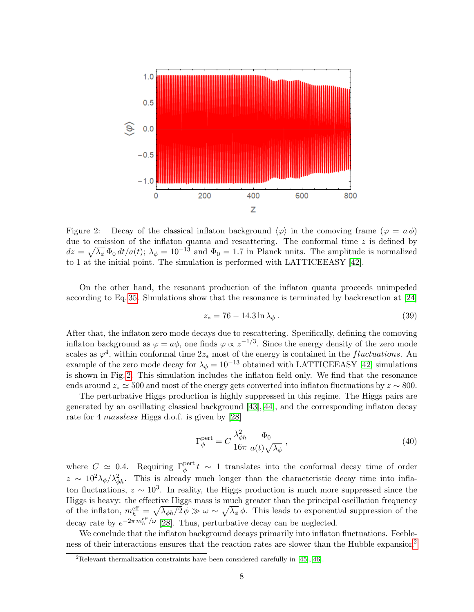

<span id="page-8-0"></span>Figure 2: Decay of the classical inflaton background  $\langle \varphi \rangle$  in the comoving frame  $(\varphi = a \phi)$ due to emission of the inflaton quanta and rescattering. The conformal time  $z$  is defined by  $dz = \sqrt{\lambda_{\phi}} \Phi_0 dt/a(t); \lambda_{\phi} = 10^{-13}$  and  $\Phi_0 = 1.7$  in Planck units. The amplitude is normalized to 1 at the initial point. The simulation is performed with LATTICEEASY [\[42\]](#page-15-15).

On the other hand, the resonant production of the inflaton quanta proceeds unimpeded according to Eq. [35.](#page-6-1) Simulations show that the resonance is terminated by backreaction at [\[24\]](#page-14-12)

$$
z_* = 76 - 14.3 \ln \lambda_\phi \,. \tag{39}
$$

After that, the inflaton zero mode decays due to rescattering. Specifically, defining the comoving inflaton background as  $\varphi = a\phi$ , one finds  $\varphi \propto z^{-1/3}$ . Since the energy density of the zero mode scales as  $\varphi^4$ , within conformal time  $2z_*$  most of the energy is contained in the *fluctuations*. An example of the zero mode decay for  $\lambda_{\phi} = 10^{-13}$  obtained with LATTICEEASY [\[42\]](#page-15-15) simulations is shown in Fig. [2.](#page-8-0) This simulation includes the inflaton field only. We find that the resonance ends around  $z_* \approx 500$  and most of the energy gets converted into inflaton fluctuations by  $z \sim 800$ .

The perturbative Higgs production is highly suppressed in this regime. The Higgs pairs are generated by an oscillating classical background [\[43\]](#page-15-16),[\[44\]](#page-15-17), and the corresponding inflaton decay rate for 4 massless Higgs d.o.f. is given by [\[28\]](#page-15-1)

$$
\Gamma_{\phi}^{\text{pert}} = C \frac{\lambda_{\phi h}^2}{16\pi} \frac{\Phi_0}{a(t)\sqrt{\lambda_{\phi}}},\qquad(40)
$$

where  $C \simeq 0.4$ . Requiring  $\Gamma_{\phi}^{\text{pert}} t \sim 1$  translates into the conformal decay time of order  $z \sim 10^2 \lambda_{\phi}/\lambda_{\phi h}^2$ . This is already much longer than the characteristic decay time into inflaton fluctuations,  $z \sim 10^3$ . In reality, the Higgs production is much more suppressed since the Higgs is heavy: the effective Higgs mass is much greater than the principal oscillation frequency of the inflaton,  $m_h^{\text{eff}} = \sqrt{\lambda_{\phi h}/2} \phi \gg \omega \sim \sqrt{\lambda_{\phi}} \phi$ . This leads to exponential suppression of the decay rate by  $e^{-2\pi m_h^{\text{eff}}/\omega}$  [\[28\]](#page-15-1). Thus, perturbative decay can be neglected.

We conclude that the inflaton background decays primarily into inflaton fluctuations. Feeble-ness of their interactions ensures that the reaction rates are slower than the Hubble expansion<sup>[2](#page-8-1)</sup>

<span id="page-8-1"></span> $2R$ elevant thermalization constraints have been considered carefully in [\[45\]](#page-15-18),[\[46\]](#page-15-19).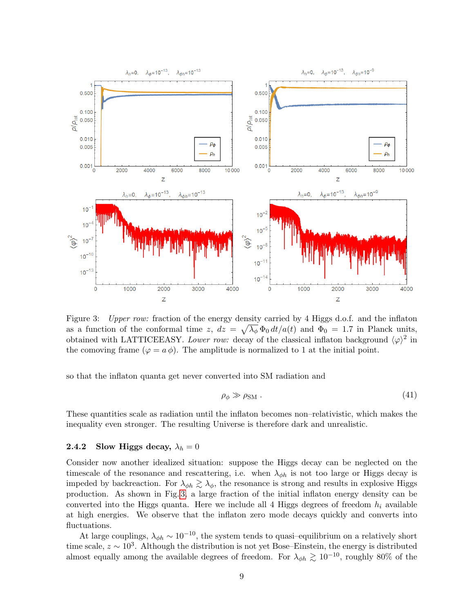

<span id="page-9-0"></span>Figure 3: Upper row: fraction of the energy density carried by 4 Higgs d.o.f. and the inflaton as a function of the conformal time z,  $dz = \sqrt{\lambda_{\phi}} \Phi_0 dt/a(t)$  and  $\Phi_0 = 1.7$  in Planck units, obtained with LATTICEEASY. Lower row: decay of the classical inflaton background  $\langle \varphi \rangle^2$  in the comoving frame  $(\varphi = a \phi)$ . The amplitude is normalized to 1 at the initial point.

so that the inflaton quanta get never converted into SM radiation and

$$
\rho_{\phi} \gg \rho_{\rm SM} \ . \tag{41}
$$

These quantities scale as radiation until the inflaton becomes non–relativistic, which makes the inequality even stronger. The resulting Universe is therefore dark and unrealistic.

### <span id="page-9-1"></span>2.4.2 Slow Higgs decay,  $\lambda_h = 0$

Consider now another idealized situation: suppose the Higgs decay can be neglected on the timescale of the resonance and rescattering, i.e. when  $\lambda_{\phi h}$  is not too large or Higgs decay is impeded by backreaction. For  $\lambda_{\phi h} \gtrsim \lambda_{\phi}$ , the resonance is strong and results in explosive Higgs production. As shown in Fig. [3,](#page-9-0) a large fraction of the initial inflaton energy density can be converted into the Higgs quanta. Here we include all 4 Higgs degrees of freedom  $h_i$  available at high energies. We observe that the inflaton zero mode decays quickly and converts into fluctuations.

At large couplings,  $\lambda_{\phi h} \sim 10^{-10}$ , the system tends to quasi-equilibrium on a relatively short time scale,  $z \sim 10^3$ . Although the distribution is not yet Bose–Einstein, the energy is distributed almost equally among the available degrees of freedom. For  $\lambda_{\phi h} \gtrsim 10^{-10}$ , roughly 80% of the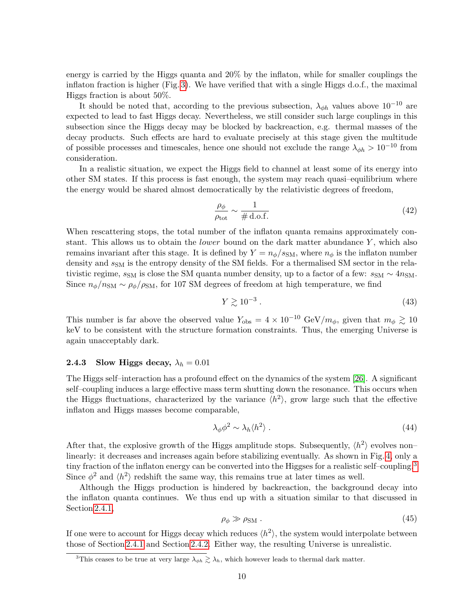energy is carried by the Higgs quanta and 20% by the inflaton, while for smaller couplings the inflaton fraction is higher (Fig. [3\)](#page-9-0). We have verified that with a single Higgs d.o.f., the maximal Higgs fraction is about 50%.

It should be noted that, according to the previous subsection,  $\lambda_{\phi h}$  values above 10<sup>-10</sup> are expected to lead to fast Higgs decay. Nevertheless, we still consider such large couplings in this subsection since the Higgs decay may be blocked by backreaction, e.g. thermal masses of the decay products. Such effects are hard to evaluate precisely at this stage given the multitude of possible processes and timescales, hence one should not exclude the range  $\lambda_{\phi h} > 10^{-10}$  from consideration.

In a realistic situation, we expect the Higgs field to channel at least some of its energy into other SM states. If this process is fast enough, the system may reach quasi–equilibrium where the energy would be shared almost democratically by the relativistic degrees of freedom,

$$
\frac{\rho_{\phi}}{\rho_{\text{tot}}} \sim \frac{1}{\# \text{ d.o.f.}}\tag{42}
$$

When rescattering stops, the total number of the inflaton quanta remains approximately constant. This allows us to obtain the *lower* bound on the dark matter abundance  $Y$ , which also remains invariant after this stage. It is defined by  $Y = n_{\phi}/s_{\rm SM}$ , where  $n_{\phi}$  is the inflaton number density and  $s<sub>SM</sub>$  is the entropy density of the SM fields. For a thermalised SM sector in the relativistic regime,  $s_{SM}$  is close the SM quanta number density, up to a factor of a few:  $s_{SM} \sim 4n_{SM}$ . Since  $n_{\phi}/n_{\rm SM} \sim \rho_{\phi}/\rho_{\rm SM}$ , for 107 SM degrees of freedom at high temperature, we find

$$
Y \gtrsim 10^{-3} \tag{43}
$$

This number is far above the observed value  $Y_{\text{obs}} = 4 \times 10^{-10} \text{ GeV}/m_{\phi}$ , given that  $m_{\phi} \gtrsim 10$ keV to be consistent with the structure formation constraints. Thus, the emerging Universe is again unacceptably dark.

### 2.4.3 Slow Higgs decay,  $\lambda_h = 0.01$

The Higgs self–interaction has a profound effect on the dynamics of the system [\[26\]](#page-14-14). A significant self–coupling induces a large effective mass term shutting down the resonance. This occurs when the Higgs fluctuations, characterized by the variance  $\langle h^2 \rangle$ , grow large such that the effective inflaton and Higgs masses become comparable,

$$
\lambda_{\phi}\phi^2 \sim \lambda_h \langle h^2 \rangle \tag{44}
$$

After that, the explosive growth of the Higgs amplitude stops. Subsequently,  $\langle h^2 \rangle$  evolves non– linearly: it decreases and increases again before stabilizing eventually. As shown in Fig. [4,](#page-11-0) only a tiny fraction of the inflaton energy can be converted into the Higgses for a realistic self–coupling.<sup>[3](#page-10-0)</sup> Since  $\phi^2$  and  $\langle h^2 \rangle$  redshift the same way, this remains true at later times as well.

Although the Higgs production is hindered by backreaction, the background decay into the inflaton quanta continues. We thus end up with a situation similar to that discussed in Section [2.4.1,](#page-7-0)

$$
\rho_{\phi} \gg \rho_{\rm SM} \ . \tag{45}
$$

If one were to account for Higgs decay which reduces  $\langle h^2 \rangle$ , the system would interpolate between those of Section [2.4.1](#page-7-0) and Section [2.4.2.](#page-9-1) Either way, the resulting Universe is unrealistic.

<span id="page-10-0"></span><sup>&</sup>lt;sup>3</sup>This ceases to be true at very large  $\lambda_{\phi h} \gtrsim \lambda_h$ , which however leads to thermal dark matter.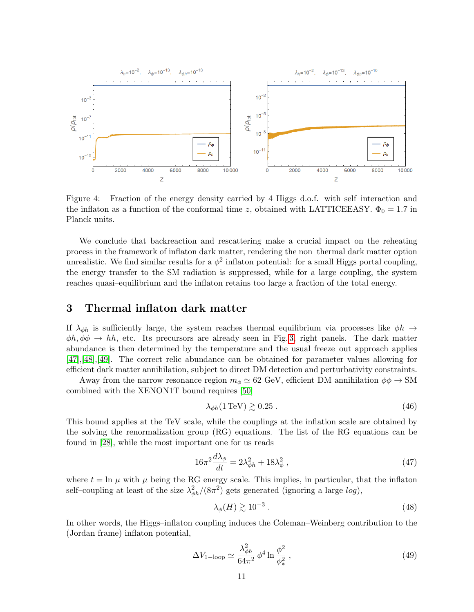

<span id="page-11-0"></span>Figure 4: Fraction of the energy density carried by 4 Higgs d.o.f. with self–interaction and the inflaton as a function of the conformal time z, obtained with LATTICEEASY.  $\Phi_0 = 1.7$  in Planck units.

We conclude that backreaction and rescattering make a crucial impact on the reheating process in the framework of inflaton dark matter, rendering the non–thermal dark matter option unrealistic. We find similar results for a  $\phi^2$  inflaton potential: for a small Higgs portal coupling, the energy transfer to the SM radiation is suppressed, while for a large coupling, the system reaches quasi–equilibrium and the inflaton retains too large a fraction of the total energy.

### 3 Thermal inflaton dark matter

If  $\lambda_{\phi h}$  is sufficiently large, the system reaches thermal equilibrium via processes like  $\phi h \to$  $\phi h, \phi \phi \rightarrow hh$ , etc. Its precursors are already seen in Fig. [3,](#page-9-0) right panels. The dark matter abundance is then determined by the temperature and the usual freeze–out approach applies [\[47\]](#page-15-20),[\[48\]](#page-15-21),[\[49\]](#page-15-22). The correct relic abundance can be obtained for parameter values allowing for efficient dark matter annihilation, subject to direct DM detection and perturbativity constraints.

Away from the narrow resonance region  $m_{\phi} \simeq 62 \text{ GeV}$ , efficient DM annihilation  $\phi \phi \rightarrow SM$ combined with the XENON1T bound requires [\[50\]](#page-15-23)

$$
\lambda_{\phi h} (1 \,\text{TeV}) \gtrsim 0.25 \,. \tag{46}
$$

This bound applies at the TeV scale, while the couplings at the inflation scale are obtained by the solving the renormalization group (RG) equations. The list of the RG equations can be found in [\[28\]](#page-15-1), while the most important one for us reads

$$
16\pi^2 \frac{d\lambda_\phi}{dt} = 2\lambda_{\phi h}^2 + 18\lambda_\phi^2 \,,\tag{47}
$$

where  $t = \ln \mu$  with  $\mu$  being the RG energy scale. This implies, in particular, that the inflaton self-coupling at least of the size  $\lambda_{\phi h}^2/(8\pi^2)$  gets generated (ignoring a large  $log$ ),

$$
\lambda_{\phi}(H) \gtrsim 10^{-3} \tag{48}
$$

In other words, the Higgs–inflaton coupling induces the Coleman–Weinberg contribution to the (Jordan frame) inflaton potential,

$$
\Delta V_{1-\text{loop}} \simeq \frac{\lambda_{\phi h}^2}{64\pi^2} \phi^4 \ln \frac{\phi^2}{\phi_*^2} \,, \tag{49}
$$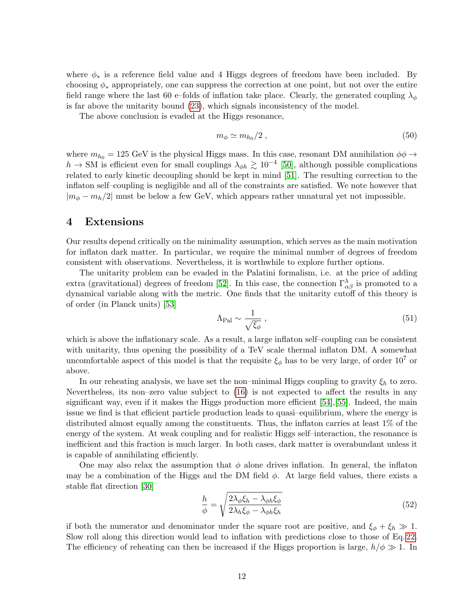where  $\phi_*$  is a reference field value and 4 Higgs degrees of freedom have been included. By choosing  $\phi_*$  appropriately, one can suppress the correction at one point, but not over the entire field range where the last 60 e–folds of inflation take place. Clearly, the generated coupling  $\lambda_{\phi}$ is far above the unitarity bound [\(23\)](#page-4-1), which signals inconsistency of the model.

The above conclusion is evaded at the Higgs resonance,

$$
m_{\phi} \simeq m_{h_0}/2 \;, \tag{50}
$$

where  $m_{h_0} = 125$  GeV is the physical Higgs mass. In this case, resonant DM annihilation  $\phi\phi \rightarrow$  $h \to SM$  is efficient even for small couplings  $\lambda_{\phi h} \gtrsim 10^{-4}$  [\[50\]](#page-15-23), although possible complications related to early kinetic decoupling should be kept in mind [\[51\]](#page-15-24). The resulting correction to the inflaton self–coupling is negligible and all of the constraints are satisfied. We note however that  $|m_{\phi} - m_h/2|$  must be below a few GeV, which appears rather unnatural yet not impossible.

# 4 Extensions

Our results depend critically on the minimality assumption, which serves as the main motivation for inflaton dark matter. In particular, we require the minimal number of degrees of freedom consistent with observations. Nevertheless, it is worthwhile to explore further options.

The unitarity problem can be evaded in the Palatini formalism, i.e. at the price of adding extra (gravitational) degrees of freedom [\[52\]](#page-15-25). In this case, the connection  $\Gamma^{\lambda}_{\alpha\beta}$  is promoted to a dynamical variable along with the metric. One finds that the unitarity cutoff of this theory is of order (in Planck units) [\[53\]](#page-16-0)

$$
\Lambda_{\rm Pal} \sim \frac{1}{\sqrt{\xi_{\phi}}}\,,\tag{51}
$$

which is above the inflationary scale. As a result, a large inflaton self–coupling can be consistent with unitarity, thus opening the possibility of a TeV scale thermal inflaton DM. A somewhat uncomfortable aspect of this model is that the requisite  $\xi_{\phi}$  has to be very large, of order  $10^{7}$  or above.

In our reheating analysis, we have set the non–minimal Higgs coupling to gravity  $\xi_h$  to zero. Nevertheless, its non–zero value subject to [\(16\)](#page-3-0) is not expected to affect the results in any significant way, even if it makes the Higgs production more efficient [\[54\]](#page-16-1),[\[55\]](#page-16-2). Indeed, the main issue we find is that efficient particle production leads to quasi–equilibrium, where the energy is distributed almost equally among the constituents. Thus, the inflaton carries at least 1% of the energy of the system. At weak coupling and for realistic Higgs self–interaction, the resonance is inefficient and this fraction is much larger. In both cases, dark matter is overabundant unless it is capable of annihilating efficiently.

One may also relax the assumption that  $\phi$  alone drives inflation. In general, the inflaton may be a combination of the Higgs and the DM field  $\phi$ . At large field values, there exists a stable flat direction [\[30\]](#page-15-3)

$$
\frac{h}{\phi} = \sqrt{\frac{2\lambda_{\phi}\xi_{h} - \lambda_{\phi h}\xi_{\phi}}{2\lambda_{h}\xi_{\phi} - \lambda_{\phi h}\xi_{h}}}
$$
(52)

if both the numerator and denominator under the square root are positive, and  $\xi_{\phi} + \xi_{h} \gg 1$ . Slow roll along this direction would lead to inflation with predictions close to those of Eq. [22.](#page-4-2) The efficiency of reheating can then be increased if the Higgs proportion is large,  $h/\phi \gg 1$ . In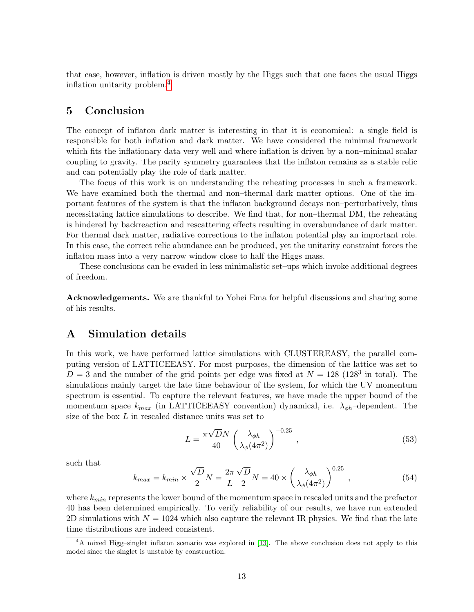that case, however, inflation is driven mostly by the Higgs such that one faces the usual Higgs inflation unitarity problem.[4](#page-13-0)

### 5 Conclusion

The concept of inflaton dark matter is interesting in that it is economical: a single field is responsible for both inflation and dark matter. We have considered the minimal framework which fits the inflationary data very well and where inflation is driven by a non–minimal scalar coupling to gravity. The parity symmetry guarantees that the inflaton remains as a stable relic and can potentially play the role of dark matter.

The focus of this work is on understanding the reheating processes in such a framework. We have examined both the thermal and non–thermal dark matter options. One of the important features of the system is that the inflaton background decays non–perturbatively, thus necessitating lattice simulations to describe. We find that, for non–thermal DM, the reheating is hindered by backreaction and rescattering effects resulting in overabundance of dark matter. For thermal dark matter, radiative corrections to the inflaton potential play an important role. In this case, the correct relic abundance can be produced, yet the unitarity constraint forces the inflaton mass into a very narrow window close to half the Higgs mass.

These conclusions can be evaded in less minimalistic set–ups which invoke additional degrees of freedom.

Acknowledgements. We are thankful to Yohei Ema for helpful discussions and sharing some of his results.

## A Simulation details

In this work, we have performed lattice simulations with CLUSTEREASY, the parallel computing version of LATTICEEASY. For most purposes, the dimension of the lattice was set to  $D = 3$  and the number of the grid points per edge was fixed at  $N = 128$  (128<sup>3</sup> in total). The simulations mainly target the late time behaviour of the system, for which the UV momentum spectrum is essential. To capture the relevant features, we have made the upper bound of the momentum space  $k_{max}$  (in LATTICEEASY convention) dynamical, i.e.  $\lambda_{\phi h}$ -dependent. The size of the box L in rescaled distance units was set to

$$
L = \frac{\pi\sqrt{D}N}{40} \left(\frac{\lambda_{\phi h}}{\lambda_{\phi}(4\pi^2)}\right)^{-0.25},\qquad(53)
$$

such that

$$
k_{max} = k_{min} \times \frac{\sqrt{D}}{2} N = \frac{2\pi}{L} \frac{\sqrt{D}}{2} N = 40 \times \left(\frac{\lambda_{\phi h}}{\lambda_{\phi}(4\pi^2)}\right)^{0.25},\tag{54}
$$

where  $k_{min}$  represents the lower bound of the momentum space in rescaled units and the prefactor 40 has been determined empirically. To verify reliability of our results, we have run extended 2D simulations with  $N = 1024$  which also capture the relevant IR physics. We find that the late time distributions are indeed consistent.

<span id="page-13-0"></span><sup>4</sup>A mixed Higg–singlet inflaton scenario was explored in [\[13\]](#page-14-15). The above conclusion does not apply to this model since the singlet is unstable by construction.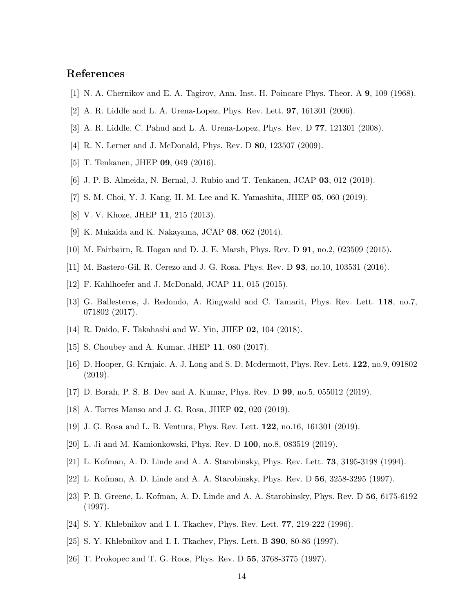# References

- <span id="page-14-0"></span>[1] N. A. Chernikov and E. A. Tagirov, Ann. Inst. H. Poincare Phys. Theor. A 9, 109 (1968).
- <span id="page-14-1"></span>[2] A. R. Liddle and L. A. Urena-Lopez, Phys. Rev. Lett. 97, 161301 (2006).
- <span id="page-14-2"></span>[3] A. R. Liddle, C. Pahud and L. A. Urena-Lopez, Phys. Rev. D 77, 121301 (2008).
- <span id="page-14-3"></span>[4] R. N. Lerner and J. McDonald, Phys. Rev. D 80, 123507 (2009).
- <span id="page-14-4"></span>[5] T. Tenkanen, JHEP 09, 049 (2016).
- <span id="page-14-5"></span>[6] J. P. B. Almeida, N. Bernal, J. Rubio and T. Tenkanen, JCAP 03, 012 (2019).
- <span id="page-14-6"></span>[7] S. M. Choi, Y. J. Kang, H. M. Lee and K. Yamashita, JHEP 05, 060 (2019).
- <span id="page-14-7"></span>[8] V. V. Khoze, JHEP 11, 215 (2013).
- [9] K. Mukaida and K. Nakayama, JCAP 08, 062 (2014).
- [10] M. Fairbairn, R. Hogan and D. J. E. Marsh, Phys. Rev. D 91, no.2, 023509 (2015).
- [11] M. Bastero-Gil, R. Cerezo and J. G. Rosa, Phys. Rev. D 93, no.10, 103531 (2016).
- [12] F. Kahlhoefer and J. McDonald, JCAP 11, 015 (2015).
- <span id="page-14-15"></span>[13] G. Ballesteros, J. Redondo, A. Ringwald and C. Tamarit, Phys. Rev. Lett. 118, no.7, 071802 (2017).
- [14] R. Daido, F. Takahashi and W. Yin, JHEP 02, 104 (2018).
- [15] S. Choubey and A. Kumar, JHEP 11, 080 (2017).
- [16] D. Hooper, G. Krnjaic, A. J. Long and S. D. Mcdermott, Phys. Rev. Lett. 122, no.9, 091802 (2019).
- [17] D. Borah, P. S. B. Dev and A. Kumar, Phys. Rev. D 99, no.5, 055012 (2019).
- [18] A. Torres Manso and J. G. Rosa, JHEP 02, 020 (2019).
- [19] J. G. Rosa and L. B. Ventura, Phys. Rev. Lett. 122, no.16, 161301 (2019).
- <span id="page-14-8"></span>[20] L. Ji and M. Kamionkowski, Phys. Rev. D 100, no.8, 083519 (2019).
- <span id="page-14-9"></span>[21] L. Kofman, A. D. Linde and A. A. Starobinsky, Phys. Rev. Lett. 73, 3195-3198 (1994).
- <span id="page-14-10"></span>[22] L. Kofman, A. D. Linde and A. A. Starobinsky, Phys. Rev. D 56, 3258-3295 (1997).
- <span id="page-14-11"></span>[23] P. B. Greene, L. Kofman, A. D. Linde and A. A. Starobinsky, Phys. Rev. D 56, 6175-6192 (1997).
- <span id="page-14-12"></span>[24] S. Y. Khlebnikov and I. I. Tkachev, Phys. Rev. Lett. 77, 219-222 (1996).
- <span id="page-14-13"></span>[25] S. Y. Khlebnikov and I. I. Tkachev, Phys. Lett. B **390**, 80-86 (1997).
- <span id="page-14-14"></span>[26] T. Prokopec and T. G. Roos, Phys. Rev. D 55, 3768-3775 (1997).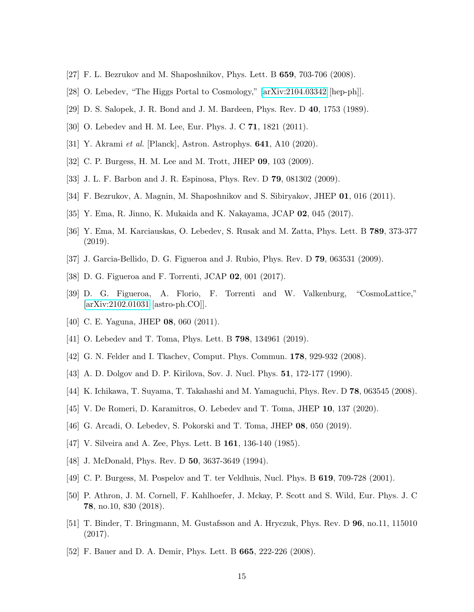- <span id="page-15-0"></span>[27] F. L. Bezrukov and M. Shaposhnikov, Phys. Lett. B 659, 703-706 (2008).
- <span id="page-15-1"></span>[28] O. Lebedev, "The Higgs Portal to Cosmology," [\[arXiv:2104.03342](http://arxiv.org/abs/2104.03342) [hep-ph]].
- <span id="page-15-2"></span>[29] D. S. Salopek, J. R. Bond and J. M. Bardeen, Phys. Rev. D 40, 1753 (1989).
- <span id="page-15-3"></span>[30] O. Lebedev and H. M. Lee, Eur. Phys. J. C 71, 1821 (2011).
- <span id="page-15-4"></span>[31] Y. Akrami et al. [Planck], Astron. Astrophys. **641**, A10 (2020).
- <span id="page-15-5"></span>[32] C. P. Burgess, H. M. Lee and M. Trott, JHEP 09, 103 (2009).
- <span id="page-15-6"></span>[33] J. L. F. Barbon and J. R. Espinosa, Phys. Rev. D 79, 081302 (2009).
- <span id="page-15-7"></span>[34] F. Bezrukov, A. Magnin, M. Shaposhnikov and S. Sibiryakov, JHEP 01, 016 (2011).
- <span id="page-15-8"></span>[35] Y. Ema, R. Jinno, K. Mukaida and K. Nakayama, JCAP 02, 045 (2017).
- <span id="page-15-9"></span>[36] Y. Ema, M. Karciauskas, O. Lebedev, S. Rusak and M. Zatta, Phys. Lett. B 789, 373-377 (2019).
- <span id="page-15-10"></span>[37] J. Garcia-Bellido, D. G. Figueroa and J. Rubio, Phys. Rev. D 79, 063531 (2009).
- <span id="page-15-11"></span>[38] D. G. Figueroa and F. Torrenti, JCAP 02, 001 (2017).
- <span id="page-15-12"></span>[39] D. G. Figueroa, A. Florio, F. Torrenti and W. Valkenburg, "CosmoLattice," [\[arXiv:2102.01031](http://arxiv.org/abs/2102.01031) [astro-ph.CO]].
- <span id="page-15-13"></span>[40] C. E. Yaguna, JHEP **08**, 060 (2011).
- <span id="page-15-14"></span>[41] O. Lebedev and T. Toma, Phys. Lett. B 798, 134961 (2019).
- <span id="page-15-15"></span>[42] G. N. Felder and I. Tkachev, Comput. Phys. Commun. 178, 929-932 (2008).
- <span id="page-15-16"></span>[43] A. D. Dolgov and D. P. Kirilova, Sov. J. Nucl. Phys. **51**, 172-177 (1990).
- <span id="page-15-17"></span>[44] K. Ichikawa, T. Suyama, T. Takahashi and M. Yamaguchi, Phys. Rev. D 78, 063545 (2008).
- <span id="page-15-18"></span>[45] V. De Romeri, D. Karamitros, O. Lebedev and T. Toma, JHEP 10, 137 (2020).
- <span id="page-15-19"></span>[46] G. Arcadi, O. Lebedev, S. Pokorski and T. Toma, JHEP 08, 050 (2019).
- <span id="page-15-20"></span>[47] V. Silveira and A. Zee, Phys. Lett. B **161**, 136-140 (1985).
- <span id="page-15-21"></span>[48] J. McDonald, Phys. Rev. D **50**, 3637-3649 (1994).
- <span id="page-15-22"></span>[49] C. P. Burgess, M. Pospelov and T. ter Veldhuis, Nucl. Phys. B 619, 709-728 (2001).
- <span id="page-15-23"></span>[50] P. Athron, J. M. Cornell, F. Kahlhoefer, J. Mckay, P. Scott and S. Wild, Eur. Phys. J. C 78, no.10, 830 (2018).
- <span id="page-15-24"></span>[51] T. Binder, T. Bringmann, M. Gustafsson and A. Hryczuk, Phys. Rev. D 96, no.11, 115010 (2017).
- <span id="page-15-25"></span>[52] F. Bauer and D. A. Demir, Phys. Lett. B 665, 222-226 (2008).